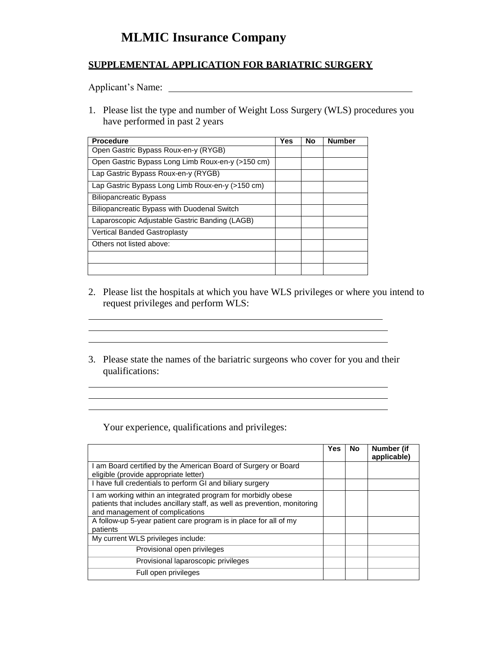## **MLMIC Insurance Company**

## **SUPPLEMENTAL APPLICATION FOR BARIATRIC SURGERY**

Applicant's Name: 1988. Applicant's Name: 1988. Applicant's Name: 1988. Applicant of Name: 1988. Applicant of Name: 1988. Applicant of Name: 1988. Applicant of Name: 1988. Applicant of Name: 1988. Applicant of Name: 1988.

1. Please list the type and number of Weight Loss Surgery (WLS) procedures you have performed in past 2 years

| <b>Procedure</b>                                   | <b>Yes</b> | No | <b>Number</b> |
|----------------------------------------------------|------------|----|---------------|
| Open Gastric Bypass Roux-en-y (RYGB)               |            |    |               |
| Open Gastric Bypass Long Limb Roux-en-y (>150 cm)  |            |    |               |
| Lap Gastric Bypass Roux-en-y (RYGB)                |            |    |               |
| Lap Gastric Bypass Long Limb Roux-en-y (>150 cm)   |            |    |               |
| <b>Biliopancreatic Bypass</b>                      |            |    |               |
| <b>Biliopancreatic Bypass with Duodenal Switch</b> |            |    |               |
| Laparoscopic Adjustable Gastric Banding (LAGB)     |            |    |               |
| <b>Vertical Banded Gastroplasty</b>                |            |    |               |
| Others not listed above:                           |            |    |               |
|                                                    |            |    |               |
|                                                    |            |    |               |

- 2. Please list the hospitals at which you have WLS privileges or where you intend to request privileges and perform WLS:
- 3. Please state the names of the bariatric surgeons who cover for you and their qualifications:

<u> 1989 - Johann Stoff, deutscher Stoffen und der Stoffen und der Stoffen und der Stoffen und der Stoffen und de</u> <u> 1989 - Johann Barn, mars ann an t-Amhain ann an t-Amhain an t-Amhain an t-Amhain an t-Amhain an t-Amhain an t-</u>

<u> 1989 - Johann Stein, marwolaethau a bhann an t-Amhainn an t-Amhainn an t-Amhainn an t-Amhainn an t-Amhainn a</u> <u> 1989 - Andrea Station Barbara, amerikan personal (h. 1989).</u> 

Your experience, qualifications and privileges:

|                                                                                                                                                                              | <b>Yes</b> | <b>No</b> | Number (if<br>applicable) |
|------------------------------------------------------------------------------------------------------------------------------------------------------------------------------|------------|-----------|---------------------------|
| I am Board certified by the American Board of Surgery or Board<br>eligible (provide appropriate letter)                                                                      |            |           |                           |
| I have full credentials to perform GI and biliary surgery                                                                                                                    |            |           |                           |
| I am working within an integrated program for morbidly obese<br>patients that includes ancillary staff, as well as prevention, monitoring<br>and management of complications |            |           |                           |
| A follow-up 5-year patient care program is in place for all of my<br>patients                                                                                                |            |           |                           |
| My current WLS privileges include:                                                                                                                                           |            |           |                           |
| Provisional open privileges                                                                                                                                                  |            |           |                           |
| Provisional laparoscopic privileges                                                                                                                                          |            |           |                           |
| Full open privileges                                                                                                                                                         |            |           |                           |